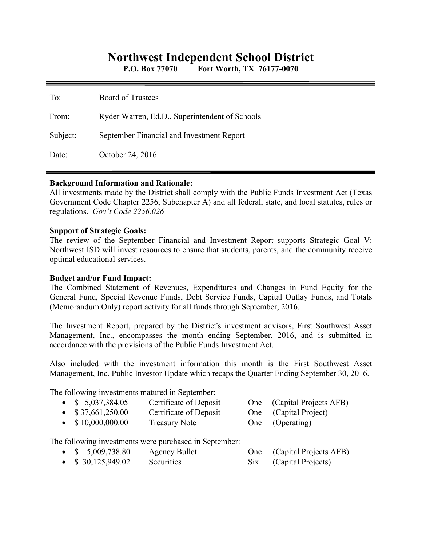# **Northwest Independent School District**

**P.O. Box 77070 Fort Worth, TX 76177-0070** 

| To:      | <b>Board of Trustees</b>                       |
|----------|------------------------------------------------|
| From:    | Ryder Warren, Ed.D., Superintendent of Schools |
| Subject: | September Financial and Investment Report      |
| Date:    | October 24, 2016                               |

#### **Background Information and Rationale:**

All investments made by the District shall comply with the Public Funds Investment Act (Texas Government Code Chapter 2256, Subchapter A) and all federal, state, and local statutes, rules or regulations. *Gov't Code 2256.026* 

#### **Support of Strategic Goals:**

The review of the September Financial and Investment Report supports Strategic Goal V: Northwest ISD will invest resources to ensure that students, parents, and the community receive optimal educational services.

## **Budget and/or Fund Impact:**

The Combined Statement of Revenues, Expenditures and Changes in Fund Equity for the General Fund, Special Revenue Funds, Debt Service Funds, Capital Outlay Funds, and Totals (Memorandum Only) report activity for all funds through September, 2016.

The Investment Report, prepared by the District's investment advisors, First Southwest Asset Management, Inc., encompasses the month ending September, 2016, and is submitted in accordance with the provisions of the Public Funds Investment Act.

Also included with the investment information this month is the First Southwest Asset Management, Inc. Public Investor Update which recaps the Quarter Ending September 30, 2016.

The following investments matured in September:

| • $$5,037,384.05$<br>$\bullet$ \$37,661,250.00<br>$\bullet$ \$10,000,000.00 | Certificate of Deposit<br>Certificate of Deposit<br><b>Treasury Note</b> |     | One (Capital Projects AFB)<br>One (Capital Project)<br>One (Operating) |
|-----------------------------------------------------------------------------|--------------------------------------------------------------------------|-----|------------------------------------------------------------------------|
|                                                                             | The following investments were purchased in September:                   |     |                                                                        |
| • $$5,009,738.80$                                                           | Agency Bullet                                                            | One | (Capital Projects AFB)                                                 |

• \$ 30,125,949.02 Securities Six (Capital Projects)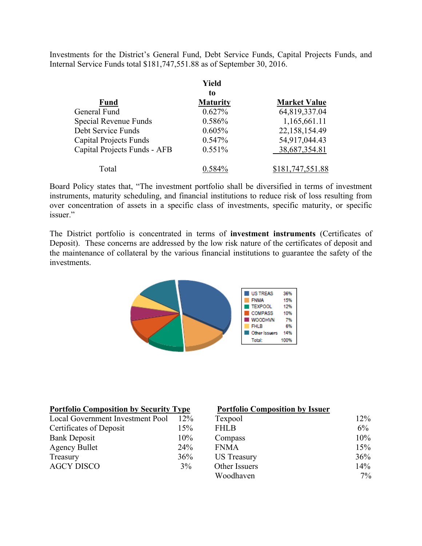Investments for the District's General Fund, Debt Service Funds, Capital Projects Funds, and Internal Service Funds total \$181,747,551.88 as of September 30, 2016.

|                               | Yield           |                     |
|-------------------------------|-----------------|---------------------|
|                               | to              |                     |
| <b>Fund</b>                   | <b>Maturity</b> | <b>Market Value</b> |
| General Fund                  | 0.627%          | 64,819,337.04       |
| Special Revenue Funds         | 0.586%          | 1,165,661.11        |
| Debt Service Funds            | 0.605%          | 22,158,154.49       |
| <b>Capital Projects Funds</b> | 0.547%          | 54,917,044.43       |
| Capital Projects Funds - AFB  | $0.551\%$       | 38,687,354.81       |
| Total                         | $0.584\%$       | \$181,747,551.88    |

Board Policy states that, "The investment portfolio shall be diversified in terms of investment instruments, maturity scheduling, and financial institutions to reduce risk of loss resulting from over concentration of assets in a specific class of investments, specific maturity, or specific issuer."

The District portfolio is concentrated in terms of **investment instruments** (Certificates of Deposit). These concerns are addressed by the low risk nature of the certificates of deposit and the maintenance of collateral by the various financial institutions to guarantee the safety of the investments.



| <b>Portfolio Composition by Security Type</b> |        | <b>Portfolio Composition by Issuer</b> |        |
|-----------------------------------------------|--------|----------------------------------------|--------|
| Local Government Investment Pool              | $12\%$ | Texpool                                | $12\%$ |
| Certificates of Deposit                       | 15%    | <b>FHLB</b>                            | $6\%$  |
| <b>Bank Deposit</b>                           | 10%    | Compass                                | 10%    |
| <b>Agency Bullet</b>                          | 24%    | <b>FNMA</b>                            | 15%    |
| Treasury                                      | 36%    | US Treasury                            | 36%    |
| <b>AGCY DISCO</b>                             | $3\%$  | Other Issuers                          | 14%    |
|                                               |        | Woodhaven                              | $7\%$  |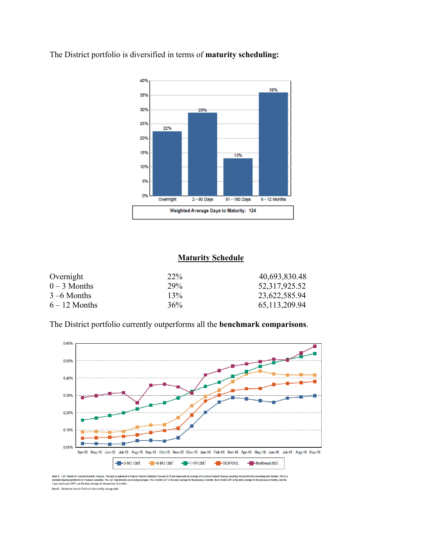

The District portfolio is diversified in terms of **maturity scheduling:** 

### **Maturity Schedule**

| Overnight       | 22% | 40,693,830.48    |
|-----------------|-----|------------------|
| $0-3$ Months    | 29% | 52,317,925.52    |
| $3 - 6$ Months  | 13% | 23,622,585.94    |
| $6 - 12$ Months | 36% | 65, 113, 209. 94 |

The District portfolio currently outperforms all the **benchmark comparisons**.



Note 1: CMT stands for Constant Maturity Treasury. This data is published in Federal Reserve Statistical Release H.15 and r<br>standard industry benchmark for Treasury securities. The CMT benchmarks are moving averages. The 3 ge of all actively traded Trea ing until maturity. This is a<br>evious 6 months, and the ving that time r at unteremains<br>age for the pre es. The 3-month CMT is the dail s 3 months, the 6-month CMT is the daily Note 2: Benchmark data for TexPool is the monthly average yield.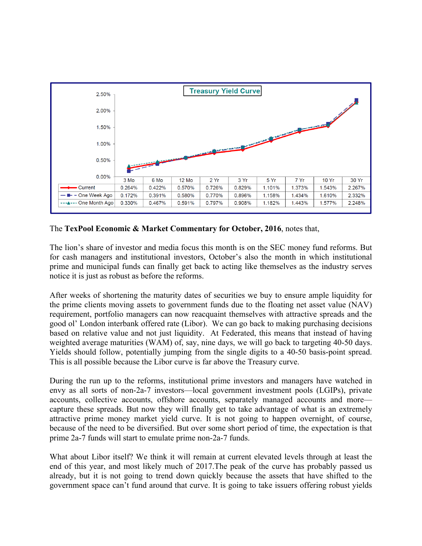

The **TexPool Economic & Market Commentary for October, 2016**, notes that,

The lion's share of investor and media focus this month is on the SEC money fund reforms. But for cash managers and institutional investors, October's also the month in which institutional prime and municipal funds can finally get back to acting like themselves as the industry serves notice it is just as robust as before the reforms.

After weeks of shortening the maturity dates of securities we buy to ensure ample liquidity for the prime clients moving assets to government funds due to the floating net asset value (NAV) requirement, portfolio managers can now reacquaint themselves with attractive spreads and the good ol' London interbank offered rate (Libor). We can go back to making purchasing decisions based on relative value and not just liquidity. At Federated, this means that instead of having weighted average maturities (WAM) of, say, nine days, we will go back to targeting 40-50 days. Yields should follow, potentially jumping from the single digits to a 40-50 basis-point spread. This is all possible because the Libor curve is far above the Treasury curve.

During the run up to the reforms, institutional prime investors and managers have watched in envy as all sorts of non-2a-7 investors—local government investment pools (LGIPs), private accounts, collective accounts, offshore accounts, separately managed accounts and more capture these spreads. But now they will finally get to take advantage of what is an extremely attractive prime money market yield curve. It is not going to happen overnight, of course, because of the need to be diversified. But over some short period of time, the expectation is that prime 2a-7 funds will start to emulate prime non-2a-7 funds.

What about Libor itself? We think it will remain at current elevated levels through at least the end of this year, and most likely much of 2017.The peak of the curve has probably passed us already, but it is not going to trend down quickly because the assets that have shifted to the government space can't fund around that curve. It is going to take issuers offering robust yields